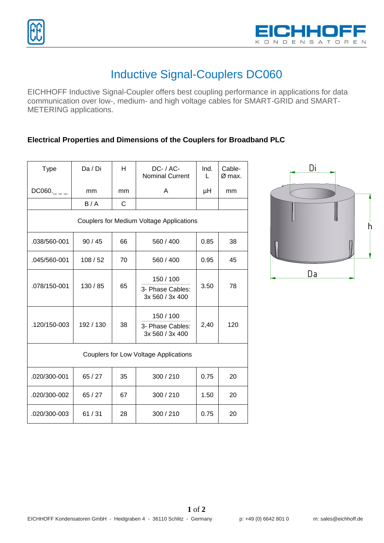

## Inductive Signal-Couplers DC060

EICHHOFF Inductive Signal-Coupler offers best coupling performance in applications for data communication over low-, medium- and high voltage cables for SMART-GRID and SMART-METERING applications.

## **Electrical Properties and Dimensions of the Couplers for Broadband PLC**

| <b>Type</b>                                     | Da / Di  | H  | $DC- / AC-$<br><b>Nominal Current</b>            | Ind.<br>L | Cable-<br>Ø max. |  |  |  |  |
|-------------------------------------------------|----------|----|--------------------------------------------------|-----------|------------------|--|--|--|--|
| DC060.                                          | mm       | mm | A                                                | μH        | mm               |  |  |  |  |
|                                                 | B/A      | C  |                                                  |           |                  |  |  |  |  |
| <b>Couplers for Medium Voltage Applications</b> |          |    |                                                  |           |                  |  |  |  |  |
| .038/560-001                                    | 90/45    | 66 | 560 / 400                                        | 0.85      | 38               |  |  |  |  |
| .045/560-001                                    | 108/52   | 70 | 560 / 400                                        | 0.95      | 45               |  |  |  |  |
| .078/150-001                                    | 130 / 85 | 65 | 150 / 100<br>3- Phase Cables:<br>3x 560 / 3x 400 | 3.50      | 78               |  |  |  |  |
| .120/150-003                                    | 192/130  | 38 | 150 / 100<br>3- Phase Cables:<br>3x 560 / 3x 400 | 2,40      | 120              |  |  |  |  |
| <b>Couplers for Low Voltage Applications</b>    |          |    |                                                  |           |                  |  |  |  |  |
| .020/300-001                                    | 65/27    | 35 | 300 / 210                                        | 0.75      | 20               |  |  |  |  |
| .020/300-002                                    | 65/27    | 67 | 300 / 210                                        | 1.50      | 20               |  |  |  |  |
| .020/300-003                                    | 61/31    | 28 | 300/210                                          | 0.75      | 20               |  |  |  |  |